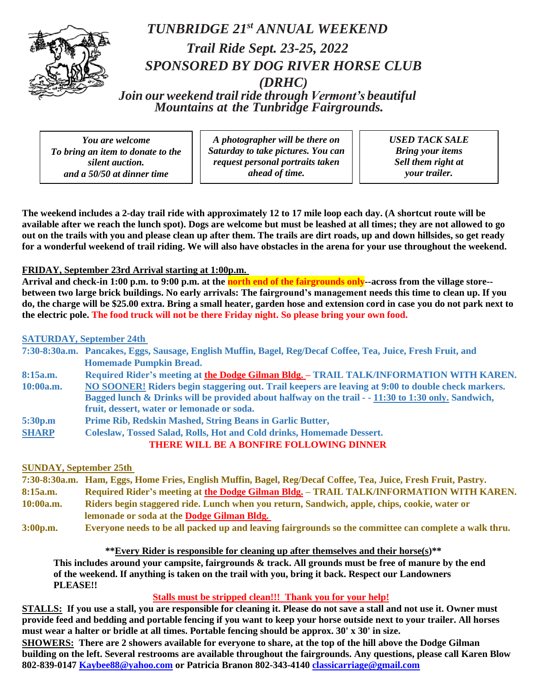

## *TUNBRIDGE 21 st ANNUAL WEEKEND Trail Ride Sept. 23-25, 2022 SPONSORED BY DOG RIVER HORSE CLUB (DRHC) Join our weekend trailride through Vermont's beautiful Mountains at the Tunbridge Fairgrounds.*

*You are welcome To bring an item to donate to the silent auction. and a 50/50 at dinner time*

*A photographer will be there on Saturday to take pictures. You can request personal portraits taken ahead of time.*

*USED TACK SALE Bring your items Sell them right at your trailer.*

**The weekend includes a 2-day trail ride with approximately 12 to 17 mile loop each day. (A shortcut route will be available after we reach the lunch spot). Dogs are welcome but must be leashed at all times; they are not allowed to go out on the trails with you and please clean up after them. The trails are dirt roads, up and down hillsides, so get ready for a wonderful weekend of trail riding. We will also have obstacles in the arena for your use throughout the weekend.**

## **FRIDAY, September 23rd Arrival starting at 1:00p.m.**

**Arrival and check-in 1:00 p.m. to 9:00 p.m. at the north end of the fairgrounds only--across from the village store- between two large brick buildings. No early arrivals: The fairground's management needs this time to clean up. If you do, the charge will be \$25.00 extra. Bring a small heater, garden hose and extension cord in case you do not park next to the electric pole. The food truck will not be there Friday night. So please bring your own food.**

## **SATURDAY, September 24th**

|              | 7:30-8:30a.m. Pancakes, Eggs, Sausage, English Muffin, Bagel, Reg/Decaf Coffee, Tea, Juice, Fresh Fruit, and |
|--------------|--------------------------------------------------------------------------------------------------------------|
|              | <b>Homemade Pumpkin Bread.</b>                                                                               |
| 8:15a.m.     | Required Rider's meeting at the Dodge Gilman Bldg. – TRAIL TALK/INFORMATION WITH KAREN.                      |
| 10:00a.m.    | NO SOONER! Riders begin staggering out. Trail keepers are leaving at 9:00 to double check markers.           |
|              | Bagged lunch & Drinks will be provided about halfway on the trail - - 11:30 to 1:30 only. Sandwich,          |
|              | fruit, dessert, water or lemonade or soda.                                                                   |
| 5:30p.m      | Prime Rib, Redskin Mashed, String Beans in Garlic Butter,                                                    |
| <b>SHARP</b> | Coleslaw, Tossed Salad, Rolls, Hot and Cold drinks, Homemade Dessert.                                        |
|              | THERE WILL BE A BONFIRE FOLLOWING DINNER                                                                     |

#### **SUNDAY, September 25th**

|           | 7:30-8:30a.m. Ham, Eggs, Home Fries, English Muffin, Bagel, Reg/Decaf Coffee, Tea, Juice, Fresh Fruit, Pastry. |
|-----------|----------------------------------------------------------------------------------------------------------------|
|           |                                                                                                                |
| 8:15a.m.  | Required Rider's meeting at the Dodge Gilman Bldg. - TRAIL TALK/INFORMATION WITH KAREN.                        |
| 10:00a.m. | Riders begin staggered ride. Lunch when you return, Sandwich, apple, chips, cookie, water or                   |
|           | lemonade or soda at the Dodge Gilman Bldg.                                                                     |
| 3:00p.m.  | Everyone needs to be all packed up and leaving fairgrounds so the committee can complete a walk thru.          |

#### **\*\*Every Rider is responsible for cleaning up after themselves and their horse(s)\*\***

**This includes around your campsite, fairgrounds & track. All grounds must be free of manure by the end of the weekend. If anything is taken on the trail with you, bring it back. Respect our Landowners PLEASE!!**

## **Stalls must be stripped clean!!! Thank you for your help!**

**STALLS: If you use a stall, you are responsible for cleaning it. Please do not save a stall and not use it. Owner must provide feed and bedding and portable fencing if you want to keep your horse outside next to your trailer. All horses must wear a halter or bridle at all times. Portable fencing should be approx. 30' x 30' in size.**

**SHOWERS: There are 2 showers available for everyone to share, at the top of the hill above the Dodge Gilman building on the left. Several restrooms are available throughout the fairgrounds. Any questions, please call Karen Blow 802-839-0147 [Kaybee88@yahoo.com](mailto:Kaybee88@yahoo.com) or Patricia Branon 802-343-414[0 classicarriage@gmail.com](mailto:classicarriage@gmail.com)**